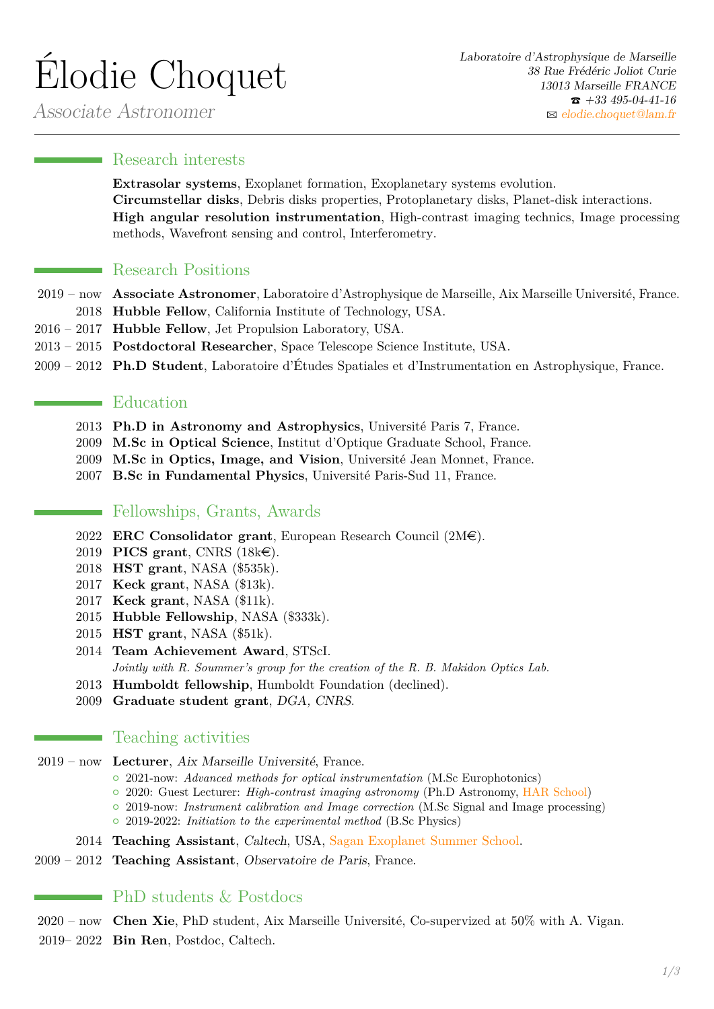# Élodie Choquet

Associate Astronomer

#### **Research interests**

**Extrasolar systems**, Exoplanet formation, Exoplanetary systems evolution. **Circumstellar disks**, Debris disks properties, Protoplanetary disks, Planet-disk interactions. **High angular resolution instrumentation**, High-contrast imaging technics, Image processing methods, Wavefront sensing and control, Interferometry.

#### **Research Positions**

- 2019 now **Associate Astronomer**, Laboratoire d'Astrophysique de Marseille, Aix Marseille Université, France.
	- 2018 **Hubble Fellow**, California Institute of Technology, USA.
- 2016 2017 **Hubble Fellow**, Jet Propulsion Laboratory, USA.
- 2013 2015 **Postdoctoral Researcher**, Space Telescope Science Institute, USA.
- 2009 2012 **Ph.D Student**, Laboratoire d'Études Spatiales et d'Instrumentation en Astrophysique, France.

#### Education

- 2013 **Ph.D in Astronomy and Astrophysics**, Université Paris 7, France.
- 2009 **M.Sc in Optical Science**, Institut d'Optique Graduate School, France.
- 2009 **M.Sc in Optics, Image, and Vision**, Université Jean Monnet, France.
- 2007 **B.Sc in Fundamental Physics**, Université Paris-Sud 11, France.

#### Fellowships, Grants, Awards

- 2022 **ERC Consolidator grant**, European Research Council  $(2M\epsilon)$ .
- 2019 **PICS grant**, CNRS (18ke).
- 2018 **HST grant**, NASA (\$535k).
- 2017 **Keck grant**, NASA (\$13k).
- 2017 **Keck grant**, NASA (\$11k).
- 2015 **Hubble Fellowship**, NASA (\$333k).
- 2015 **HST grant**, NASA (\$51k).
- 2014 **Team Achievement Award**, STScI. *Jointly with R. Soummer's group for the creation of the R. B. Makidon Optics Lab.*
- 2013 **Humboldt fellowship**, Humboldt Foundation (declined).
- 2009 **Graduate student grant**, DGA, CNRS.

### **Teaching activities**

- 2019 now **Lecturer**, Aix Marseille Université, France.
	- { 2021-now: *Advanced methods for optical instrumentation* (M.Sc Europhotonics)
	- { 2020: Guest Lecturer: *High-contrast imaging astronomy* (Ph.D Astronomy, [HAR School\)](https://sites.google.com/view/astro-har/home)
	- { 2019-now: *Instrument calibration and Image correction* (M.Sc Signal and Image processing) { 2019-2022: *Initiation to the experimental method* (B.Sc Physics)
	- 2014 **Teaching Assistant**, Caltech, USA, [Sagan Exoplanet Summer School.](https://nexsci.caltech.edu/workshop/2014/)
- 2009 2012 **Teaching Assistant**, Observatoire de Paris, France.

## $\blacksquare$  PhD students & Postdocs

- 2020 now **Chen Xie**, PhD student, Aix Marseille Université, Co-supervized at 50% with A. Vigan.
- 2019– 2022 **Bin Ren**, Postdoc, Caltech.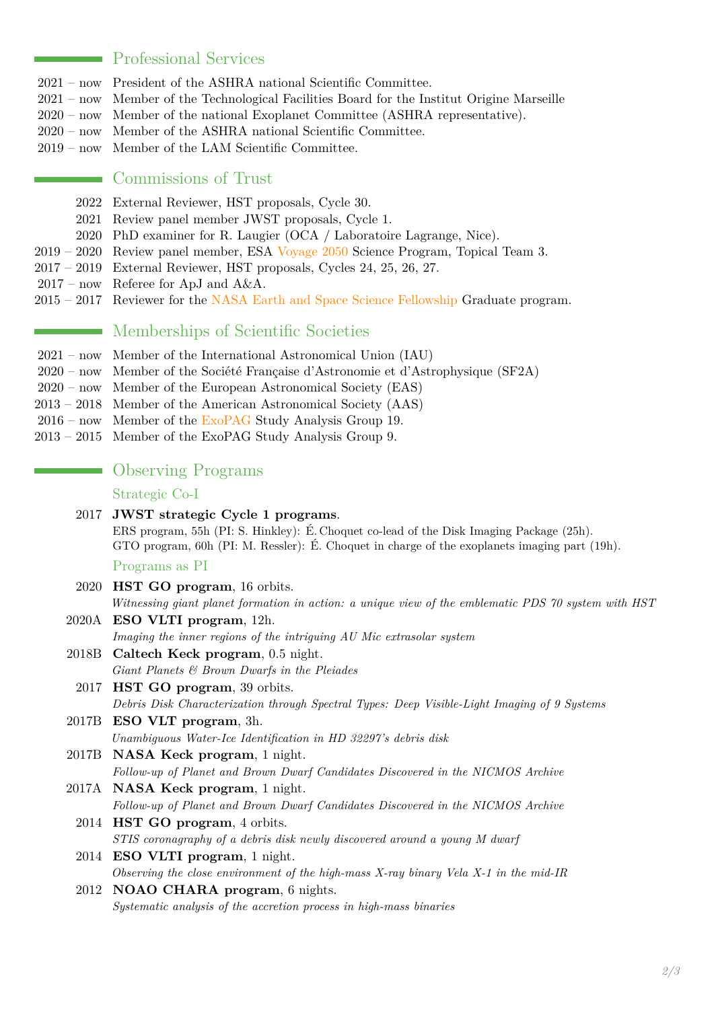#### Professional Services

- 2021 now President of the ASHRA national Scientific Committee.
- 2021 now Member of the Technological Facilities Board for the Institut Origine Marseille
- 2020 now Member of the national Exoplanet Committee (ASHRA representative).
- 2020 now Member of the ASHRA national Scientific Committee.
- 2019 now Member of the LAM Scientific Committee.

#### Commissions of Trust

- 2022 External Reviewer, HST proposals, Cycle 30.
- 2021 Review panel member JWST proposals, Cycle 1.
- 2020 PhD examiner for R. Laugier (OCA / Laboratoire Lagrange, Nice).
- 2019 2020 Review panel member, ESA [Voyage 2050](https://www.cosmos.esa.int/web/voyage-2050) Science Program, Topical Team 3.
- 2017 2019 External Reviewer, HST proposals, Cycles 24, 25, 26, 27.
- $2017$  now Referee for ApJ and A&A.
- 2015 2017 Reviewer for the [NASA Earth and Space Science Fellowship](https://science.nasa.gov/researchers/sara/grant-stats/nasa-earth-and-space-science-fellowship-nessf-selections) Graduate program.

#### Memberships of Scientific Societies

- 2021 now Member of the International Astronomical Union (IAU)
- 2020 now Member of the Société Française d'Astronomie et d'Astrophysique (SF2A)
- 2020 now Member of the European Astronomical Society (EAS)
- 2013 2018 Member of the American Astronomical Society (AAS)
- 2016 now Member of the [ExoPAG](https://exoplanets.nasa.gov/exep/exopag/overview/) Study Analysis Group 19.
- 2013 2015 Member of the ExoPAG Study Analysis Group 9.

|  | <b>Observing Programs</b> |
|--|---------------------------|
|  |                           |

#### Strategic Co-I

2017 **JWST strategic Cycle 1 programs**. ERS program, 55h (PI: S. Hinkley): É. Choquet co-lead of the Disk Imaging Package (25h). GTO program, 60h (PI: M. Ressler): É. Choquet in charge of the exoplanets imaging part (19h).

Programs as PI

| 2020  | <b>HST GO program</b> , 16 orbits.                                                                  |
|-------|-----------------------------------------------------------------------------------------------------|
|       | Witnessing giant planet formation in action: a unique view of the emblematic PDS 70 system with HST |
|       | 2020A ESO VLTI program, 12h.                                                                        |
|       | Imaging the inner regions of the intriguing AU Mic extrasolar system                                |
|       | 2018B Caltech Keck program, 0.5 night.                                                              |
|       | Giant Planets $\mathcal C$ Brown Dwarfs in the Pleiades                                             |
|       | 2017 HST GO program, 39 orbits.                                                                     |
|       | Debris Disk Characterization through Spectral Types: Deep Visible-Light Imaging of 9 Systems        |
|       | 2017B ESO VLT program, 3h.                                                                          |
|       | Unambiguous Water-Ice Identification in HD 32297's debris disk                                      |
| 2017B | <b>NASA Keck program</b> , 1 night.                                                                 |
|       | Follow-up of Planet and Brown Dwarf Candidates Discovered in the NICMOS Archive                     |
|       | 2017A NASA Keck program, 1 night.                                                                   |
|       | Follow-up of Planet and Brown Dwarf Candidates Discovered in the NICMOS Archive                     |
|       | 2014 HST GO program, 4 orbits.                                                                      |
|       | STIS coronagraphy of a debris disk newly discovered around a young M dwarf                          |
|       | 2014 ESO VLTI program, 1 night.                                                                     |
|       | Observing the close environment of the high-mass X-ray binary Vela $X$ -1 in the mid-IR             |
| 2012  | NOAO CHARA program, 6 nights.                                                                       |
|       | Systematic analysis of the accretion process in high-mass binaries                                  |
|       |                                                                                                     |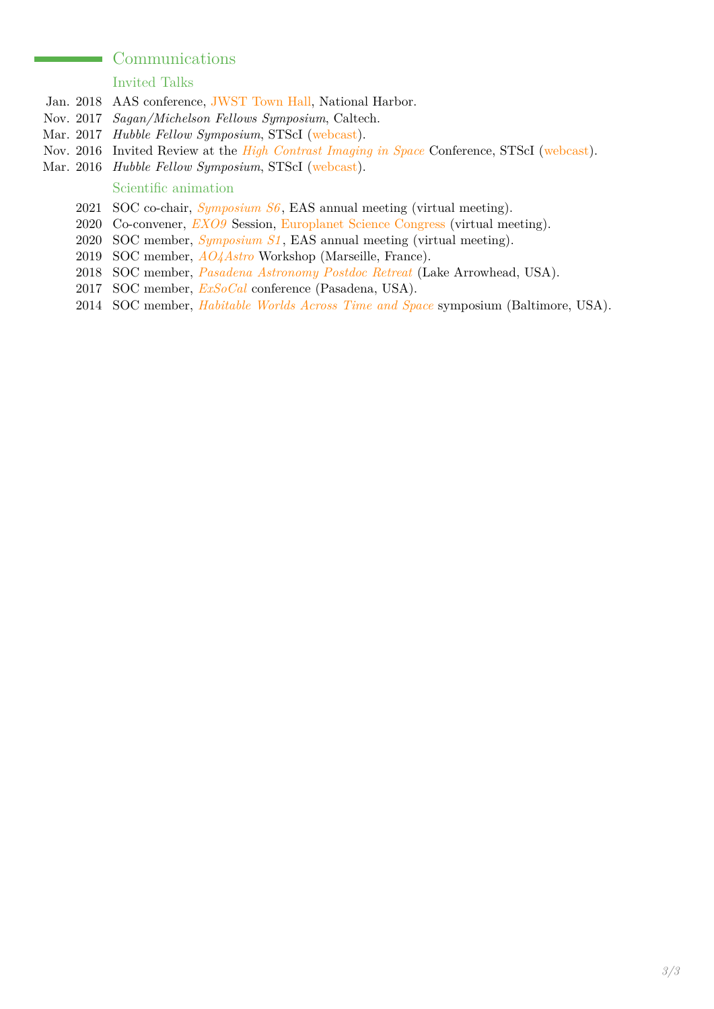### Communications

#### Invited Talks

- Jan. 2018 AAS conference, [JWST Town Hall,](https://jwst.stsci.edu/news-events/events/events-area/stsci-events-listing-container/american-astronomical-society-231st-meeting-1?mwc=4) National Harbor.
- Nov. 2017 *Sagan/Michelson Fellows Symposium*, Caltech.
- Mar. 2017 *Hubble Fellow Symposium*, STScI [\(webcast\)](https://webcast.stsci.edu/webcast/detail.xhtml?talkid=5473&parent=1).
- Nov. 2016 Invited Review at the *[High Contrast Imaging in Space](https://jwst.stsci.edu/news-events/events/events-area/stsci-events-listing-container/high-contrasting-imaging-in-space?mwc=-1)* Conference, STScI [\(webcast\)](https://webcast.stsci.edu/webcast/detail.xhtml?talkid=5327&parent=1).
- <span id="page-2-0"></span>Mar. 2016 *Hubble Fellow Symposium*, STScI [\(webcast\)](https://webcast.stsci.edu/webcast/detail.xhtml?talkid=4906&parent=1).

#### Scientific animation

- 2021 SOC co-chair, *[Symposium S6](https://eas.unige.ch/EAS2021/session.jsp?id=S6)* , EAS annual meeting (virtual meeting).
- 2020 Co-convener, *[EXO9](https://meetingorganizer.copernicus.org/EPSC2020/session/38489)* Session, [Europlanet Science Congress](https://www.epsc2020.eu/) (virtual meeting).
- 2020 SOC member, *[Symposium S1](https://eas.unige.ch/EAS2020/session.jsp?id=S1)* , EAS annual meeting (virtual meeting).
- 2019 SOC member, *[AO4Astro](https://www.lam.fr/recherche-14/r-d-optics-group/workshops/article/ao4astro-marseille-2019)* Workshop (Marseille, France).
- 2018 SOC member, *[Pasadena Astronomy Postdoc Retreat](https://papretreat.github.io/papr2018/)* (Lake Arrowhead, USA).
- 2017 SOC member, *[ExSoCal](http://nexsci.caltech.edu/conferences/2017/exsocal/)* conference (Pasadena, USA).
- 2014 SOC member, *[Habitable Worlds Across Time and Space](http://www.stsci.edu/institute/conference/habitable-worlds)* symposium (Baltimore, USA).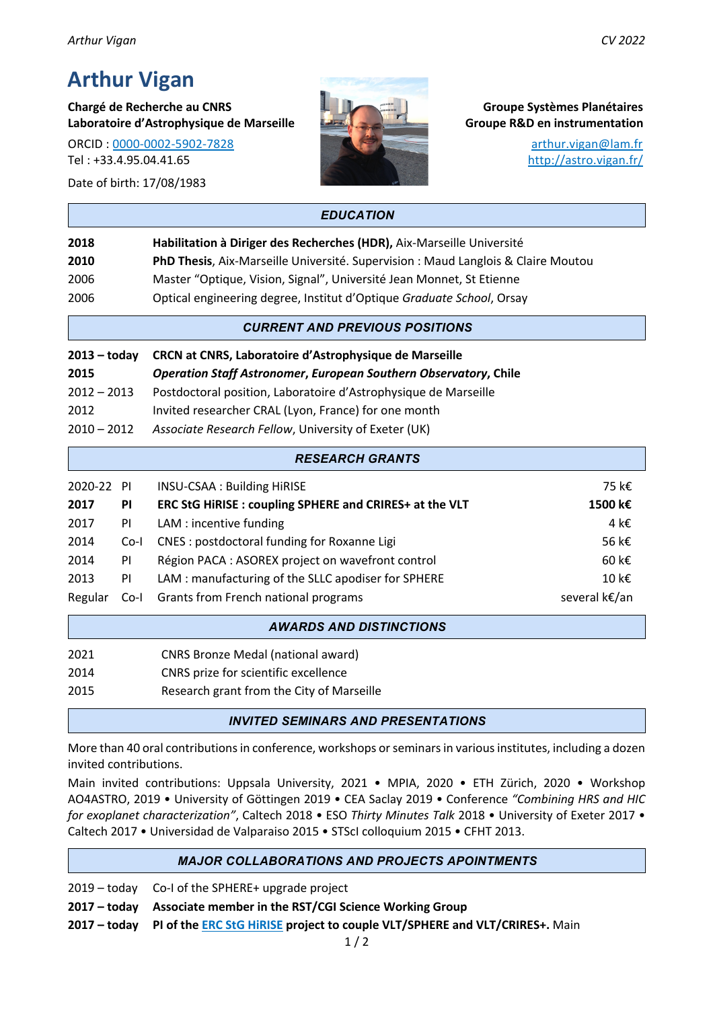# **Arthur Vigan**

**Chargé de Recherche au CNRS Groupe Systèmes Planétaires Laboratoire d'Astrophysique de Marseille Groupe R&D en instrumentation**

ORCID : 0000-0002-5902-7828 arthur.vigan@lam.fr Tel : +33.4.95.04.41.65 http://astro.vigan.fr/

Date of birth: 17/08/1983



|      | <b>EDUCATION</b>                                                                  |
|------|-----------------------------------------------------------------------------------|
| 2018 | Habilitation à Diriger des Recherches (HDR), Aix-Marseille Université             |
| 2010 | PhD Thesis, Aix-Marseille Université. Supervision : Maud Langlois & Claire Moutou |
| 2006 | Master "Optique, Vision, Signal", Université Jean Monnet, St Etienne              |
| 2006 | Optical engineering degree, Institut d'Optique Graduate School, Orsay             |
|      | <b>CURRENT AND PREVIOUS POSITIONS</b>                                             |

| 2013 – todav  | CRCN at CNRS, Laboratoire d'Astrophysique de Marseille                  |
|---------------|-------------------------------------------------------------------------|
| 2015          | <b>Operation Staff Astronomer, European Southern Observatory, Chile</b> |
| $2012 - 2013$ | Postdoctoral position, Laboratoire d'Astrophysique de Marseille         |
| 2012          | Invited researcher CRAL (Lyon, France) for one month                    |
| $2010 - 2012$ | Associate Research Fellow, University of Exeter (UK)                    |

# 2020-22 PI INSU-CSAA : Building HiRISE 75 k€ **2017 PI ERC StG HiRISE : coupling SPHERE and CRIRES+ at the VLT 1500 k€** 2017 PI LAM : incentive funding  $4k\epsilon$  $2014$  Co-I CNES : postdoctoral funding for Roxanne Ligi 56 k  $\epsilon$ 2014 PI Région PACA : ASOREX project on wavefront control 60 k€ 2013 PI LAM : manufacturing of the SLLC apodiser for SPHERE  $10 k \in$ Regular Co-I Grants from French national programs  $S^2$  is the several k $\epsilon$ /an *RESEARCH GRANTS*

#### *AWARDS AND DISTINCTIONS*

| 2021 | <b>CNRS Bronze Medal (national award)</b> |
|------|-------------------------------------------|
|------|-------------------------------------------|

- 2014 CNRS prize for scientific excellence
- 2015 Research grant from the City of Marseille

#### *INVITED SEMINARS AND PRESENTATIONS*

More than 40 oral contributions in conference, workshops or seminars in various institutes, including a dozen invited contributions.

Main invited contributions: Uppsala University, 2021 • MPIA, 2020 • ETH Zürich, 2020 • Workshop AO4ASTRO, 2019 • University of Göttingen 2019 • CEA Saclay 2019 • Conference *"Combining HRS and HIC for exoplanet characterization"*, Caltech 2018 • ESO *Thirty Minutes Talk* 2018 • University of Exeter 2017 • Caltech 2017 • Universidad de Valparaiso 2015 • STScI colloquium 2015 • CFHT 2013.

#### *MAJOR COLLABORATIONS AND PROJECTS APOINTMENTS*

2019 – today Co-I of the SPHERE+ upgrade project

**2017 – today Associate member in the RST/CGI Science Working Group**

**2017 – today PI of the ERC StG HiRISE project to couple VLT/SPHERE and VLT/CRIRES+.** Main